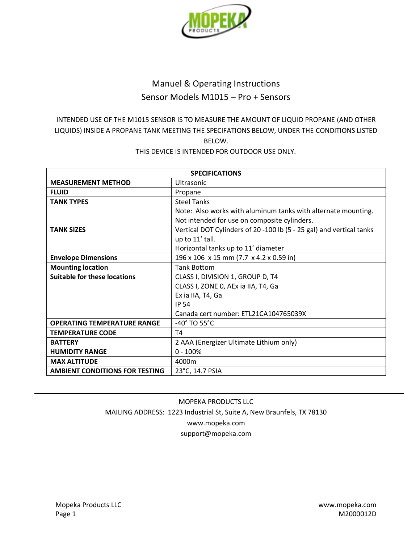

# Manuel & Operating Instructions Sensor Models M1015 – Pro + Sensors

## INTENDED USE OF THE M1015 SENSOR IS TO MEASURE THE AMOUNT OF LIQUID PROPANE (AND OTHER LIQUIDS) INSIDE A PROPANE TANK MEETING THE SPECIFATIONS BELOW, UNDER THE CONDITIONS LISTED BELOW.

## THIS DEVICE IS INTENDED FOR OUTDOOR USE ONLY.

| <b>SPECIFICATIONS</b>                 |                                                                      |  |
|---------------------------------------|----------------------------------------------------------------------|--|
| <b>MEASUREMENT METHOD</b>             | Ultrasonic                                                           |  |
| <b>FLUID</b>                          | Propane                                                              |  |
| <b>TANK TYPES</b>                     | <b>Steel Tanks</b>                                                   |  |
|                                       | Note: Also works with aluminum tanks with alternate mounting.        |  |
|                                       | Not intended for use on composite cylinders.                         |  |
| <b>TANK SIZES</b>                     | Vertical DOT Cylinders of 20 -100 lb (5 - 25 gal) and vertical tanks |  |
|                                       | up to 11' tall.                                                      |  |
|                                       | Horizontal tanks up to 11' diameter                                  |  |
| <b>Envelope Dimensions</b>            | 196 x 106 x 15 mm (7.7 x 4.2 x 0.59 in)                              |  |
| <b>Mounting location</b>              | <b>Tank Bottom</b>                                                   |  |
| <b>Suitable for these locations</b>   | CLASS I, DIVISION 1, GROUP D, T4                                     |  |
|                                       | CLASS I, ZONE 0, AEx ia IIA, T4, Ga                                  |  |
|                                       | Ex ia IIA, T4, Ga                                                    |  |
|                                       | <b>IP 54</b>                                                         |  |
|                                       | Canada cert number: ETL21CA104765039X                                |  |
| <b>OPERATING TEMPERATURE RANGE</b>    | -40° TO 55°C                                                         |  |
| <b>TEMPERATURE CODE</b>               | T4                                                                   |  |
| <b>BATTERY</b>                        | 2 AAA (Energizer Ultimate Lithium only)                              |  |
| <b>HUMIDITY RANGE</b>                 | $0 - 100%$                                                           |  |
| <b>MAX ALTITUDE</b>                   | 4000m                                                                |  |
| <b>AMBIENT CONDITIONS FOR TESTING</b> | 23°C, 14.7 PSIA                                                      |  |

## MOPEKA PRODUCTS LLC MAILING ADDRESS: 1223 Industrial St, Suite A, New Braunfels, TX 78130 www.mopeka.com support@mopeka.com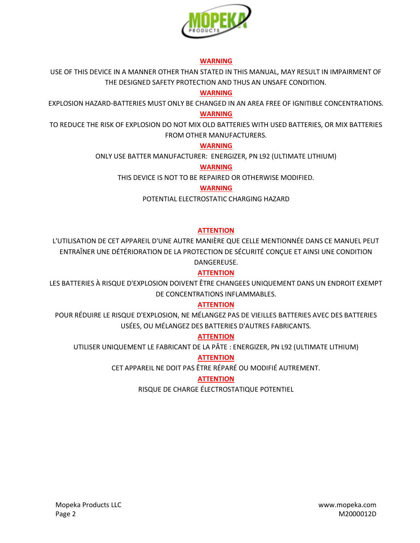

#### **WARNING**

USE OF THIS DEVICE IN A MANNER OTHER THAN STATED IN THIS MANUAL, MAY RESULT IN IMPAIRMENT OF THE DESIGNED SAFETY PROTECTION AND THUS AN UNSAFE CONDITION.

## **WARNING**

EXPLOSION HAZARD-BATTERIES MUST ONLY BE CHANGED IN AN AREA FREE OF IGNITIBLE CONCENTRATIONS.

#### **WARNING**

TO REDUCE THE RISK OF EXPLOSION DO NOT MIX OLD BATTERIES WITH USED BATTERIES, OR MIX BATTERIES FROM OTHER MANUFACTURERS.

## **WARNING**

ONLY USE BATTER MANUFACTURER: ENERGIZER, PN L92 (ULTIMATE LITHIUM)

### **WARNING**

THIS DEVICE IS NOT TO BE REPAIRED OR OTHERWISE MODIFIED.

## **WARNING**

POTENTIAL ELECTROSTATIC CHARGING HAZARD

## **ATTENTION**

L'UTILISATION DE CET APPAREIL D'UNE AUTRE MANIÈRE QUE CELLE MENTIONNÉE DANS CE MANUEL PEUT ENTRAÎNER UNE DÉTÉRIORATION DE LA PROTECTION DE SÉCURITÉ CONÇUE ET AINSI UNE CONDITION DANGEREUSE.

## **ATTENTION**

LES BATTERIES À RISQUE D'EXPLOSION DOIVENT ÊTRE CHANGEES UNIQUEMENT DANS UN ENDROIT EXEMPT DE CONCENTRATIONS INFLAMMABLES.

## **ATTENTION**

POUR RÉDUIRE LE RISQUE D'EXPLOSION, NE MÉLANGEZ PAS DE VIEILLES BATTERIES AVEC DES BATTERIES USÉES, OU MÉLANGEZ DES BATTERIES D'AUTRES FABRICANTS.

## **ATTENTION**

UTILISER UNIQUEMENT LE FABRICANT DE LA PÂTE : ENERGIZER, PN L92 (ULTIMATE LITHIUM)

## **ATTENTION**

CET APPAREIL NE DOIT PAS ÊTRE RÉPARÉ OU MODIFIÉ AUTREMENT.

## **ATTENTION**

RISQUE DE CHARGE ÉLECTROSTATIQUE POTENTIEL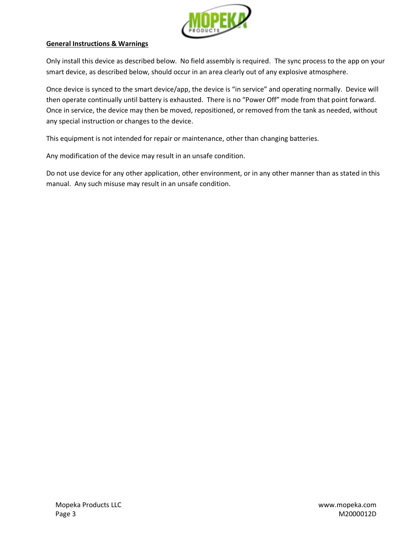

#### **General Instructions & Warnings**

Only install this device as described below. No field assembly is required. The sync process to the app on your smart device, as described below, should occur in an area clearly out of any explosive atmosphere.

Once device is synced to the smart device/app, the device is "in service" and operating normally. Device will then operate continually until battery is exhausted. There is no "Power Off" mode from that point forward. Once in service, the device may then be moved, repositioned, or removed from the tank as needed, without any special instruction or changes to the device.

This equipment is not intended for repair or maintenance, other than changing batteries.

Any modification of the device may result in an unsafe condition.

Do not use device for any other application, other environment, or in any other manner than as stated in this manual. Any such misuse may result in an unsafe condition.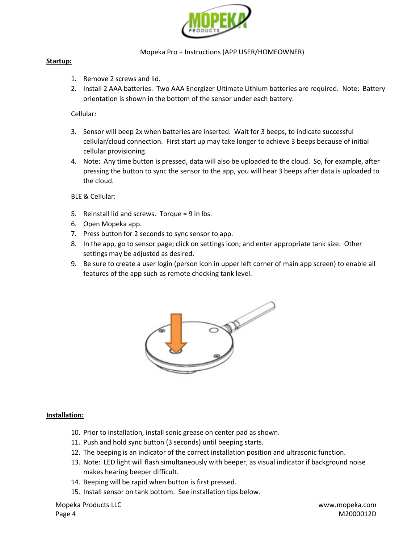

#### Mopeka Pro + Instructions (APP USER/HOMEOWNER)

#### **Startup:**

- 1. Remove 2 screws and lid.
- 2. Install 2 AAA batteries. Two AAA Energizer Ultimate Lithium batteries are required. Note: Battery orientation is shown in the bottom of the sensor under each battery.

### Cellular:

- 3. Sensor will beep 2x when batteries are inserted. Wait for 3 beeps, to indicate successful cellular/cloud connection. First start up may take longer to achieve 3 beeps because of initial cellular provisioning.
- 4. Note: Any time button is pressed, data will also be uploaded to the cloud. So, for example, after pressing the button to sync the sensor to the app, you will hear 3 beeps after data is uploaded to the cloud.

BLE & Cellular:

- 5. Reinstall lid and screws. Torque = 9 in lbs.
- 6. Open Mopeka app.
- 7. Press button for 2 seconds to sync sensor to app.
- 8. In the app, go to sensor page; click on settings icon; and enter appropriate tank size. Other settings may be adjusted as desired.
- 9. Be sure to create a user login (person icon in upper left corner of main app screen) to enable all features of the app such as remote checking tank level.



#### **Installation:**

- 10. Prior to installation, install sonic grease on center pad as shown.
- 11. Push and hold sync button (3 seconds) until beeping starts.
- 12. The beeping is an indicator of the correct installation position and ultrasonic function.
- 13. Note: LED light will flash simultaneously with beeper, as visual indicator if background noise makes hearing beeper difficult.
- 14. Beeping will be rapid when button is first pressed.
- 15. Install sensor on tank bottom. See installation tips below.

Mopeka Products LLC www.mopeka.com Page 4 M2000012D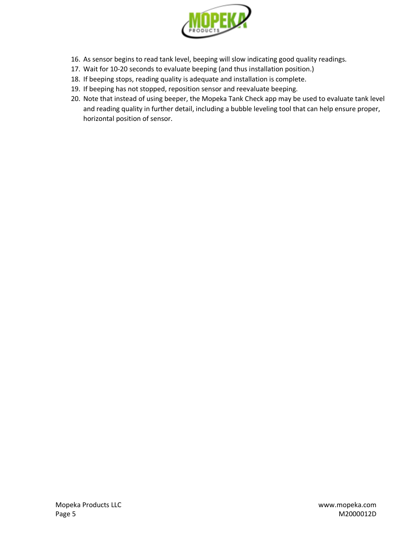

- 16. As sensor begins to read tank level, beeping will slow indicating good quality readings.
- 17. Wait for 10-20 seconds to evaluate beeping (and thus installation position.)
- 18. If beeping stops, reading quality is adequate and installation is complete.
- 19. If beeping has not stopped, reposition sensor and reevaluate beeping.
- 20. Note that instead of using beeper, the Mopeka Tank Check app may be used to evaluate tank level and reading quality in further detail, including a bubble leveling tool that can help ensure proper, horizontal position of sensor.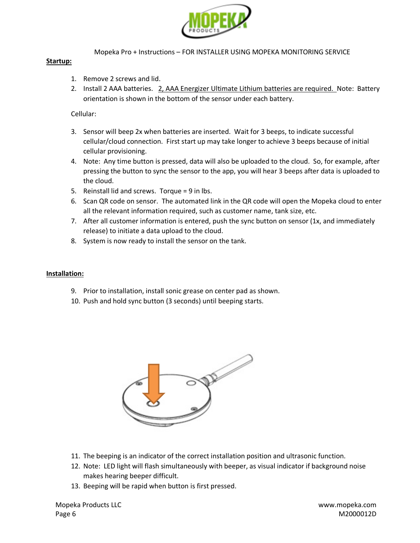

Mopeka Pro + Instructions – FOR INSTALLER USING MOPEKA MONITORING SERVICE

#### **Startup:**

- 1. Remove 2 screws and lid.
- 2. Install 2 AAA batteries. 2, AAA Energizer Ultimate Lithium batteries are required. Note: Battery orientation is shown in the bottom of the sensor under each battery.

#### Cellular:

- 3. Sensor will beep 2x when batteries are inserted. Wait for 3 beeps, to indicate successful cellular/cloud connection. First start up may take longer to achieve 3 beeps because of initial cellular provisioning.
- 4. Note: Any time button is pressed, data will also be uploaded to the cloud. So, for example, after pressing the button to sync the sensor to the app, you will hear 3 beeps after data is uploaded to the cloud.
- 5. Reinstall lid and screws. Torque = 9 in lbs.
- 6. Scan QR code on sensor. The automated link in the QR code will open the Mopeka cloud to enter all the relevant information required, such as customer name, tank size, etc.
- 7. After all customer information is entered, push the sync button on sensor (1x, and immediately release) to initiate a data upload to the cloud.
- 8. System is now ready to install the sensor on the tank.

#### **Installation:**

- 9. Prior to installation, install sonic grease on center pad as shown.
- 10. Push and hold sync button (3 seconds) until beeping starts.



- 11. The beeping is an indicator of the correct installation position and ultrasonic function.
- 12. Note: LED light will flash simultaneously with beeper, as visual indicator if background noise makes hearing beeper difficult.
- 13. Beeping will be rapid when button is first pressed.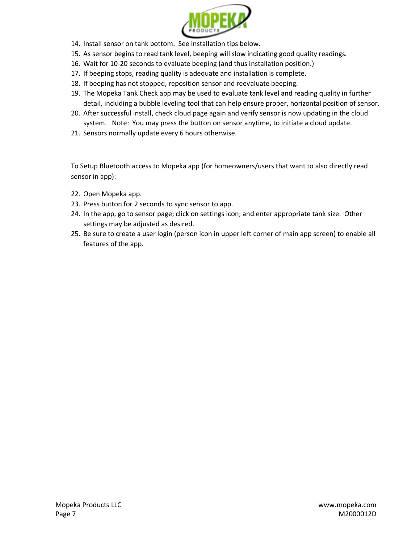

- 14. Install sensor on tank bottom. See installation tips below.
- 15. As sensor begins to read tank level, beeping will slow indicating good quality readings.
- 16. Wait for 10-20 seconds to evaluate beeping (and thus installation position.)
- 17. If beeping stops, reading quality is adequate and installation is complete.
- 18. If beeping has not stopped, reposition sensor and reevaluate beeping.
- 19. The Mopeka Tank Check app may be used to evaluate tank level and reading quality in further detail, including a bubble leveling tool that can help ensure proper, horizontal position of sensor.
- 20. After successful install, check cloud page again and verify sensor is now updating in the cloud system. Note: You may press the button on sensor anytime, to initiate a cloud update.
- 21. Sensors normally update every 6 hours otherwise.

To Setup Bluetooth access to Mopeka app (for homeowners/users that want to also directly read sensor in app):

- 22. Open Mopeka app.
- 23. Press button for 2 seconds to sync sensor to app.
- 24. In the app, go to sensor page; click on settings icon; and enter appropriate tank size. Other settings may be adjusted as desired.
- 25. Be sure to create a user login (person icon in upper left corner of main app screen) to enable all features of the app.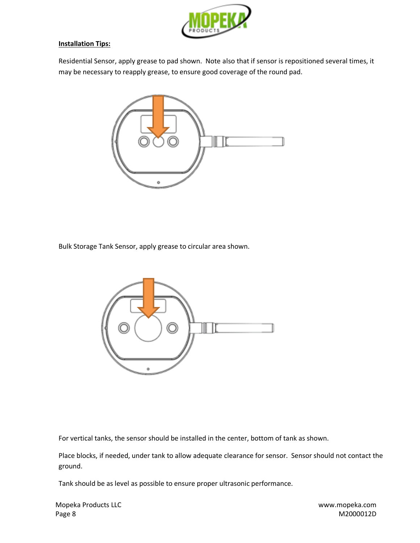

#### **Installation Tips:**

Residential Sensor, apply grease to pad shown. Note also that if sensor is repositioned several times, it may be necessary to reapply grease, to ensure good coverage of the round pad.



Bulk Storage Tank Sensor, apply grease to circular area shown.



For vertical tanks, the sensor should be installed in the center, bottom of tank as shown.

Place blocks, if needed, under tank to allow adequate clearance for sensor. Sensor should not contact the ground.

Tank should be as level as possible to ensure proper ultrasonic performance.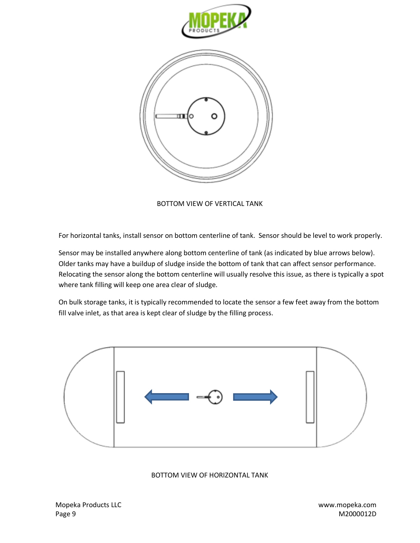

BOTTOM VIEW OF VERTICAL TANK

For horizontal tanks, install sensor on bottom centerline of tank. Sensor should be level to work properly.

Sensor may be installed anywhere along bottom centerline of tank (as indicated by blue arrows below). Older tanks may have a buildup of sludge inside the bottom of tank that can affect sensor performance. Relocating the sensor along the bottom centerline will usually resolve this issue, as there is typically a spot where tank filling will keep one area clear of sludge.

On bulk storage tanks, it is typically recommended to locate the sensor a few feet away from the bottom fill valve inlet, as that area is kept clear of sludge by the filling process.



BOTTOM VIEW OF HORIZONTAL TANK